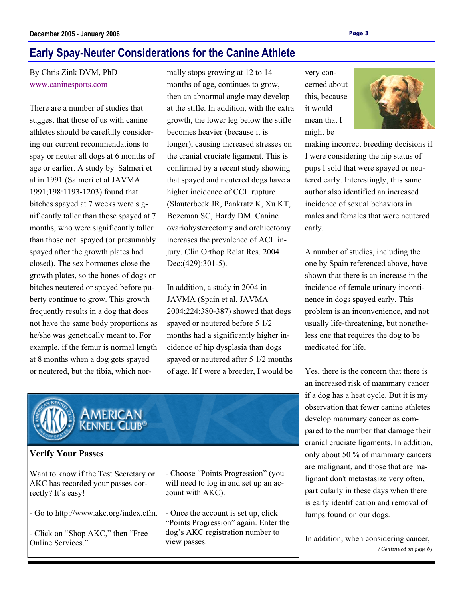# **Early Spay-Neuter Considerations for the Canine Athlete**

By Chris Zink DVM, PhD www.caninesports.com

There are a number of studies that suggest that those of us with canine athletes should be carefully considering our current recommendations to spay or neuter all dogs at 6 months of age or earlier. A study by Salmeri et al in 1991 (Salmeri et al JAVMA 1991;198:1193-1203) found that bitches spayed at 7 weeks were significantly taller than those spayed at 7 months, who were significantly taller than those not spayed (or presumably spayed after the growth plates had closed). The sex hormones close the growth plates, so the bones of dogs or bitches neutered or spayed before puberty continue to grow. This growth frequently results in a dog that does not have the same body proportions as he/she was genetically meant to. For example, if the femur is normal length at 8 months when a dog gets spayed or neutered, but the tibia, which normally stops growing at 12 to 14 months of age, continues to grow, then an abnormal angle may develop at the stifle. In addition, with the extra growth, the lower leg below the stifle becomes heavier (because it is longer), causing increased stresses on the cranial cruciate ligament. This is confirmed by a recent study showing that spayed and neutered dogs have a higher incidence of CCL rupture (Slauterbeck JR, Pankratz K, Xu KT, Bozeman SC, Hardy DM. Canine ovariohysterectomy and orchiectomy increases the prevalence of ACL injury. Clin Orthop Relat Res. 2004 Dec;(429):301-5).

In addition, a study in 2004 in JAVMA (Spain et al. JAVMA 2004;224:380-387) showed that dogs spayed or neutered before 5 1/2 months had a significantly higher incidence of hip dysplasia than dogs spayed or neutered after 5 1/2 months of age. If I were a breeder, I would be

very concerned about this, because it would mean that I might be



making incorrect breeding decisions if I were considering the hip status of pups I sold that were spayed or neutered early. Interestingly, this same author also identified an increased incidence of sexual behaviors in males and females that were neutered early.

A number of studies, including the one by Spain referenced above, have shown that there is an increase in the incidence of female urinary incontinence in dogs spayed early. This problem is an inconvenience, and not usually life-threatening, but nonetheless one that requires the dog to be medicated for life.

Yes, there is the concern that there is an increased risk of mammary cancer if a dog has a heat cycle. But it is my observation that fewer canine athletes develop mammary cancer as compared to the number that damage their cranial cruciate ligaments. In addition, only about 50 % of mammary cancers are malignant, and those that are malignant don't metastasize very often, particularly in these days when there is early identification and removal of lumps found on our dogs.

In addition, when considering cancer, *(Continued on page 6)* 



#### **Verify Your Passes**

Want to know if the Test Secretary or AKC has recorded your passes correctly? It's easy!

- Go to http://www.akc.org/index.cfm.

- Click on "Shop AKC," then "Free Online Services."

- Choose "Points Progression" (you will need to log in and set up an account with AKC).

- Once the account is set up, click "Points Progression" again. Enter the dog's AKC registration number to view passes.